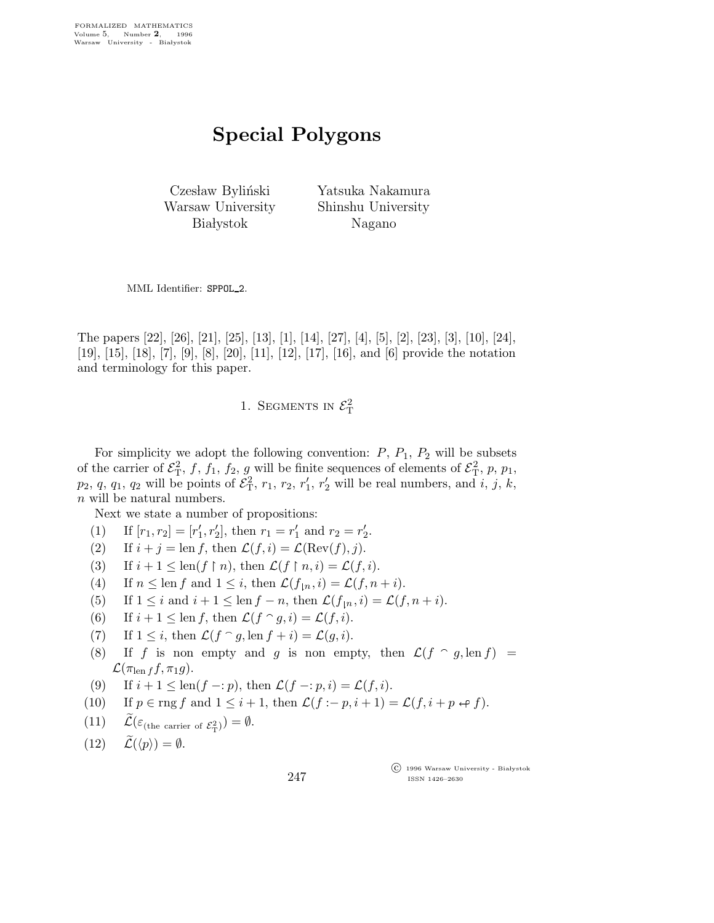## Special Polygons

Czesław Byliński Warsaw University **Białystok** 

Yatsuka Nakamura Shinshu University Nagano

MML Identifier: SPPOL 2.

The papers [22], [26], [21], [25], [13], [1], [14], [27], [4], [5], [2], [23], [3], [10], [24], [19], [15], [18], [7], [9], [8], [20], [11], [12], [17], [16], and [6] provide the notation and terminology for this paper.

1. SEGMENTS IN  $\mathcal{E}_{\textrm{T}}^2$ 

For simplicity we adopt the following convention:  $P$ ,  $P_1$ ,  $P_2$  will be subsets of the carrier of  $\mathcal{E}_{\rm T}^2$ , f, f<sub>1</sub>, f<sub>2</sub>, g will be finite sequences of elements of  $\mathcal{E}_{\rm T}^2$ , p, p<sub>1</sub>,  $p_2, q, q_1, q_2$  will be points of  $\mathcal{E}_T^2$ ,  $r_1, r_2, r'_1$  $\eta_1$ ,  $r_2'$  will be real numbers, and  $\tilde{i}$ ,  $\tilde{j}$ ,  $\tilde{k}$ , n will be natural numbers.

Next we state a number of propositions:

- (1) If  $[r_1, r_2] = [r'_1]$  $'_{1}, r'_{2}$ , then  $r_{1} = r'_{1}$  $r'_1$  and  $r_2 = r'_2$  $\frac{7}{2}$ .
- (2) If  $i + j = \text{len } f$ , then  $\mathcal{L}(f, i) = \mathcal{L}(\text{Rev}(f), j)$ .
- (3) If  $i + 1 \leq \text{len}(f \restriction n)$ , then  $\mathcal{L}(f \restriction n, i) = \mathcal{L}(f, i)$ .
- (4) If  $n \leq \text{len } f$  and  $1 \leq i$ , then  $\mathcal{L}(f_{n}, i) = \mathcal{L}(f, n + i)$ .
- (5) If  $1 \leq i$  and  $i + 1 \leq \text{len } f n$ , then  $\mathcal{L}(f_{n}, i) = \mathcal{L}(f, n + i)$ .
- (6) If  $i + 1 \leq \text{len } f$ , then  $\mathcal{L}(f \cap g, i) = \mathcal{L}(f, i)$ .
- (7) If  $1 \leq i$ , then  $\mathcal{L}(f \cap g, \text{len } f + i) = \mathcal{L}(g, i)$ .
- (8) If f is non empty and g is non empty, then  $\mathcal{L}(f \cap g, \text{len } f)$  =  $\mathcal{L}(\pi_{\text{len }f} f, \pi_1 g).$
- (9) If  $i + 1 \leq \text{len}(f p)$ , then  $\mathcal{L}(f p, i) = \mathcal{L}(f, i)$ .
- (10) If  $p \in \text{rng } f$  and  $1 \leq i+1$ , then  $\mathcal{L}(f := p, i+1) = \mathcal{L}(f, i+p \leftrightarrow f)$ .
- (11)  $\widetilde{\mathcal{L}}(\varepsilon_{\text{(the carrier of } \mathcal{E}_{\mathrm{T}}^2)}) = \emptyset.$
- $(12)$   $\widetilde{\mathcal{L}}(\langle p \rangle) = \emptyset.$

 $\overline{\text{C}}$  1996 Warsaw University - Białystok ISSN 1426–2630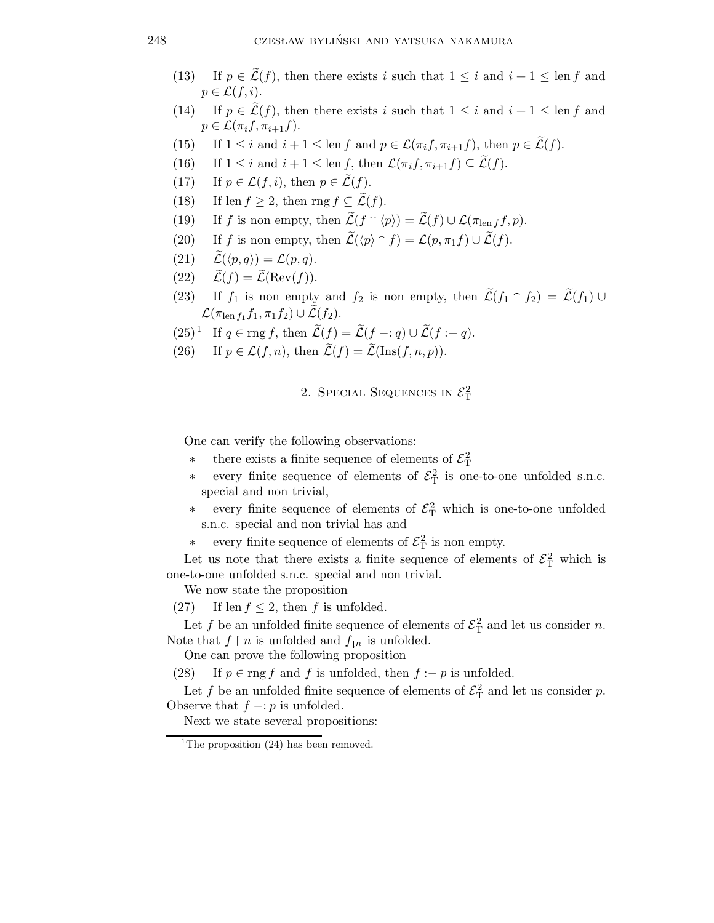- (13) If  $p \in \tilde{\mathcal{L}}(f)$ , then there exists i such that  $1 \leq i$  and  $i + 1 \leq \text{len } f$  and  $p \in \mathcal{L}(f, i)$ .
- (14) If  $p \in \widetilde{\mathcal{L}}(f)$ , then there exists i such that  $1 \leq i$  and  $i + 1 \leq \text{len } f$  and  $p \in \mathcal{L}(\pi_i f, \pi_{i+1} f).$
- (15) If  $1 \leq i$  and  $i + 1 \leq \text{len } f$  and  $p \in \mathcal{L}(\pi_i f, \pi_{i+1} f)$ , then  $p \in \widetilde{\mathcal{L}}(f)$ .
- (16) If  $1 \leq i$  and  $i + 1 \leq \text{len } f$ , then  $\mathcal{L}(\pi_i f, \pi_{i+1} f) \subseteq \mathcal{L}(f)$ .
- (17) If  $p \in \mathcal{L}(f, i)$ , then  $p \in \widetilde{\mathcal{L}}(f)$ .
- (18) If len  $f > 2$ , then rng  $f \subset \widetilde{\mathcal{L}}(f)$ .
- (19) If f is non empty, then  $\widetilde{\mathcal{L}}(f \cap \langle p \rangle) = \widetilde{\mathcal{L}}(f) \cup \mathcal{L}(\pi_{\text{len }f}f, p).$
- (20) If f is non empty, then  $\widetilde{\mathcal{L}}(\langle p \rangle \cap f) = \mathcal{L}(p, \pi_1 f) \cup \widetilde{\mathcal{L}}(f)$ .
- (21)  $\widetilde{\mathcal{L}}(\langle p,q \rangle) = \mathcal{L}(p,q).$
- (22)  $\widetilde{\mathcal{L}}(f) = \widetilde{\mathcal{L}}(\text{Rev}(f)).$
- (23) If  $f_1$  is non empty and  $f_2$  is non empty, then  $\widetilde{\mathcal{L}}(f_1 \cap f_2) = \widetilde{\mathcal{L}}(f_1) \cup$  $\mathcal{L}(\pi_{\operatorname{len} f_1} f_1, \pi_1 f_2) \cup \mathcal{\tilde{L}}(f_2).$
- $(25)^{\mathbb{1}}$  If  $q \in \text{rng } f$ , then  $\widetilde{\mathcal{L}}(f) = \widetilde{\mathcal{L}}(f q) \cup \widetilde{\mathcal{L}}(f q)$ .
- (26) If  $p \in \mathcal{L}(f,n)$ , then  $\widetilde{\mathcal{L}}(f) = \widetilde{\mathcal{L}}(\text{Ins}(f,n,p)).$

2. SPECIAL SEQUENCES IN  $\mathcal{E}_{\textrm{T}}^2$ 

One can verify the following observations:

- <sup>\*</sup> there exists a finite sequence of elements of  $\mathcal{E}_{\rm T}^2$
- every finite sequence of elements of  $\mathcal{E}_{\rm T}^2$  is one-to-one unfolded s.n.c. special and non trivial,
- every finite sequence of elements of  $\mathcal{E}_{\rm T}^2$  which is one-to-one unfolded s.n.c. special and non trivial has and
- every finite sequence of elements of  $\mathcal{E}_{\mathrm{T}}^2$  is non empty.

Let us note that there exists a finite sequence of elements of  $\mathcal{E}_{\rm T}^2$  which is one-to-one unfolded s.n.c. special and non trivial.

We now state the proposition

(27) If len  $f \leq 2$ , then f is unfolded.

Let f be an unfolded finite sequence of elements of  $\mathcal{E}_{\text{T}}^2$  and let us consider n. Note that  $f \restriction n$  is unfolded and  $f_{\restriction n}$  is unfolded.

One can prove the following proposition

(28) If  $p \in \text{rng } f$  and f is unfolded, then  $f := p$  is unfolded.

Let f be an unfolded finite sequence of elements of  $\mathcal{E}_{\text{T}}^2$  and let us consider p. Observe that  $f -: p$  is unfolded.

Next we state several propositions:

<sup>&</sup>lt;sup>1</sup>The proposition  $(24)$  has been removed.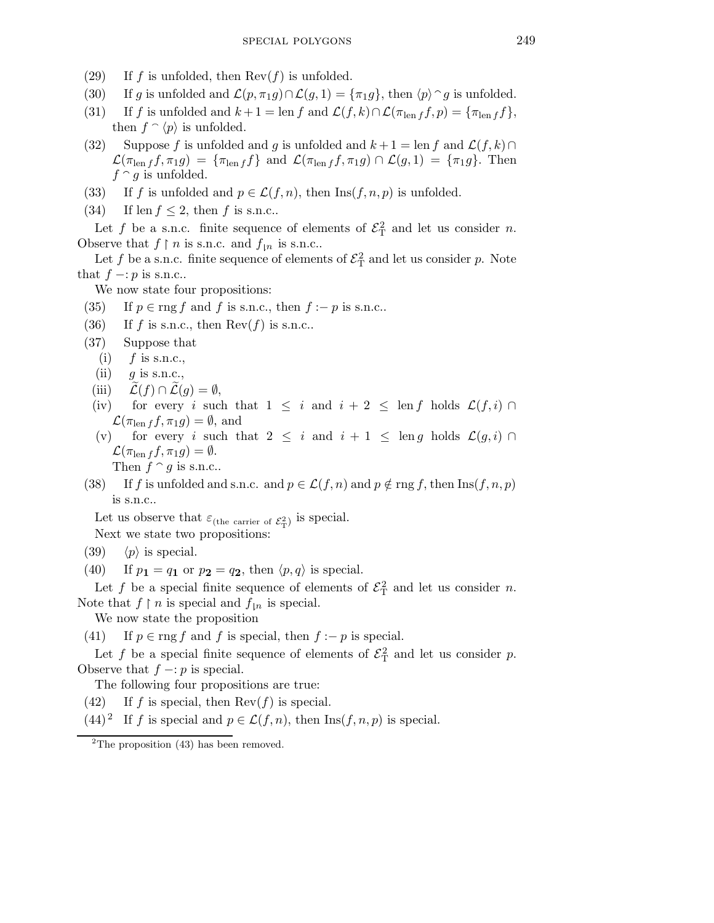- (29) If f is unfolded, then  $\text{Rev}(f)$  is unfolded.
- (30) If g is unfolded and  $\mathcal{L}(p, \pi_1 g) \cap \mathcal{L}(g, 1) = {\pi_1 g}$ , then  $\langle p \rangle \cap g$  is unfolded.
- (31) If f is unfolded and  $k+1 = \text{len } f$  and  $\mathcal{L}(f, k) \cap \mathcal{L}(\pi_{\text{len } f} f, p) = {\pi_{\text{len } f} f},$ then  $f \circ \langle p \rangle$  is unfolded.
- (32) Suppose f is unfolded and g is unfolded and  $k+1 = \text{len } f$  and  $\mathcal{L}(f, k) \cap$  $\mathcal{L}(\pi_{\text{len }f} f, \pi_1 g) = {\pi_{\text{len }f} f} \text{ and } \mathcal{L}(\pi_{\text{len }f} f, \pi_1 g) \cap \mathcal{L}(g, 1) = {\pi_1 g}. \text{ Then}$  $f \cap g$  is unfolded.
- (33) If f is unfolded and  $p \in \mathcal{L}(f,n)$ , then  $\text{Ins}(f,n,p)$  is unfolded.
- (34) If len  $f \leq 2$ , then f is s.n.c..

Let f be a s.n.c. finite sequence of elements of  $\mathcal{E}_{\rm T}^2$  and let us consider n. Observe that  $f \restriction n$  is s.n.c. and  $f_{\restriction n}$  is s.n.c..

Let f be a s.n.c. finite sequence of elements of  $\mathcal{E}_{\mathrm{T}}^2$  and let us consider p. Note that  $f - p$  is s.n.c..

We now state four propositions:

- (35) If  $p \in \text{rng } f$  and f is s.n.c., then  $f := p$  is s.n.c..
- (36) If f is s.n.c., then  $\text{Rev}(f)$  is s.n.c..
- (37) Suppose that
	- (i)  $f$  is s.n.c.,
	- $(ii)$  g is s.n.c.,
	- (iii)  $\mathcal{L}(f) \cap \mathcal{L}(g) = \emptyset$ ,
- (iv) for every i such that  $1 \leq i$  and  $i + 2 \leq \text{len } f$  holds  $\mathcal{L}(f, i) \cap$  $\mathcal{L}(\pi_{\text{len }f} f, \pi_1 g) = \emptyset$ , and
- (v) for every i such that  $2 \leq i$  and  $i + 1 \leq \text{len } g$  holds  $\mathcal{L}(g, i) \cap$  $\mathcal{L}(\pi_{\text{len }f} f, \pi_1 g) = \emptyset.$

Then  $f \cap g$  is s.n.c..

(38) If f is unfolded and s.n.c. and  $p \in \mathcal{L}(f,n)$  and  $p \notin \text{rng } f$ , then  $\text{Ins}(f,n,p)$ is s.n.c..

Let us observe that  $\varepsilon_{\text{(the carrier of }\mathcal{E}^2_T)}$  is special.

Next we state two propositions:

- (39)  $\langle p \rangle$  is special.
- (40) If  $p_1 = q_1$  or  $p_2 = q_2$ , then  $\langle p, q \rangle$  is special.

Let f be a special finite sequence of elements of  $\mathcal{E}_{\mathrm{T}}^2$  and let us consider n. Note that  $f \restriction n$  is special and  $f_{\restriction n}$  is special.

We now state the proposition

(41) If  $p \in \text{rng } f$  and f is special, then  $f := p$  is special.

Let f be a special finite sequence of elements of  $\mathcal{E}_{\rm T}^2$  and let us consider p. Observe that  $f - p$  is special.

The following four propositions are true:

(42) If f is special, then  $\text{Rev}(f)$  is special.

 $(44)^2$  If f is special and  $p \in \mathcal{L}(f,n)$ , then Ins $(f,n,p)$  is special.

 $2$ The proposition (43) has been removed.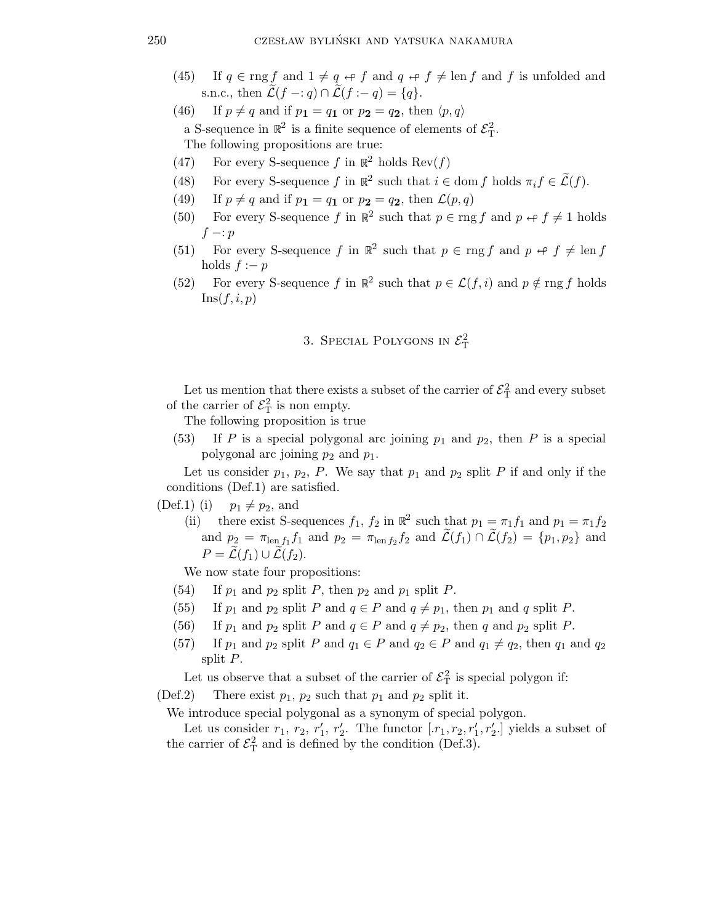- (45) If  $q \in \text{rng } f$  and  $1 \neq q \leftrightarrow f$  and  $q \leftrightarrow f \neq \text{len } f$  and f is unfolded and s.n.c., then  $\widetilde{\mathcal{L}}(f - q) \cap \widetilde{\mathcal{L}}(f - q) = \{q\}.$
- (46) If  $p \neq q$  and if  $p_1 = q_1$  or  $p_2 = q_2$ , then  $\langle p, q \rangle$ a S-sequence in  $\mathbb{R}^2$  is a finite sequence of elements of  $\mathcal{E}_{\mathrm{T}}^2$ . The following propositions are true:
- (47) For every S-sequence f in  $\mathbb{R}^2$  holds  $\text{Rev}(f)$
- (48) For every S-sequence f in  $\mathbb{R}^2$  such that  $i \in \text{dom } f$  holds  $\pi_i f \in \widetilde{\mathcal{L}}(f)$ .
- (49) If  $p \neq q$  and if  $p_1 = q_1$  or  $p_2 = q_2$ , then  $\mathcal{L}(p,q)$
- (50) For every S-sequence f in  $\mathbb{R}^2$  such that  $p \in \text{rng } f$  and  $p \leftrightarrow f \neq 1$  holds  $f - p$
- (51) For every S-sequence f in  $\mathbb{R}^2$  such that  $p \in \text{rng } f$  and  $p \leftrightarrow f \neq \text{len } f$ holds  $f := p$
- (52) For every S-sequence f in  $\mathbb{R}^2$  such that  $p \in \mathcal{L}(f, i)$  and  $p \notin \text{rng } f$  holds  $\text{Ins}(f, i, p)$

## 3. SPECIAL POLYGONS IN  $\mathcal{E}_{\textrm{T}}^2$

Let us mention that there exists a subset of the carrier of  $\mathcal{E}^2_T$  and every subset of the carrier of  $\mathcal{E}_{\mathrm{T}}^2$  is non empty.

The following proposition is true

(53) If P is a special polygonal arc joining  $p_1$  and  $p_2$ , then P is a special polygonal arc joining  $p_2$  and  $p_1$ .

Let us consider  $p_1$ ,  $p_2$ , P. We say that  $p_1$  and  $p_2$  split P if and only if the conditions (Def.1) are satisfied.

(Def.1) (i)  $p_1 \neq p_2$ , and

(ii) there exist S-sequences  $f_1$ ,  $f_2$  in  $\mathbb{R}^2$  such that  $p_1 = \pi_1 f_1$  and  $p_1 = \pi_1 f_2$ and  $p_2 = \pi_{\text{len }f_1} f_1$  and  $p_2 = \pi_{\text{len }f_2} f_2$  and  $\widetilde{\mathcal{L}}(f_1) \cap \widetilde{\mathcal{L}}(f_2) = \{p_1, p_2\}$  and  $P = \widetilde{\mathcal{L}}(f_1) \cup \widetilde{\mathcal{L}}(f_2).$ 

We now state four propositions:

- (54) If  $p_1$  and  $p_2$  split P, then  $p_2$  and  $p_1$  split P.
- (55) If  $p_1$  and  $p_2$  split P and  $q \in P$  and  $q \neq p_1$ , then  $p_1$  and q split P.
- (56) If  $p_1$  and  $p_2$  split P and  $q \in P$  and  $q \neq p_2$ , then q and  $p_2$  split P.
- (57) If  $p_1$  and  $p_2$  split P and  $q_1 \in P$  and  $q_2 \in P$  and  $q_1 \neq q_2$ , then  $q_1$  and  $q_2$ split P.

Let us observe that a subset of the carrier of  $\mathcal{E}^2_T$  is special polygon if:

(Def.2) There exist  $p_1$ ,  $p_2$  such that  $p_1$  and  $p_2$  split it.

We introduce special polygonal as a synonym of special polygon.

Let us consider  $r_1, r_2, r'_1$  $'_{1}, r'_{2}$ 2. The functor  $[r_1, r_2, r'_1, r'_2]$  yields a subset of the carrier of  $\mathcal{E}_{\mathrm{T}}^2$  and is defined by the condition (Def.3).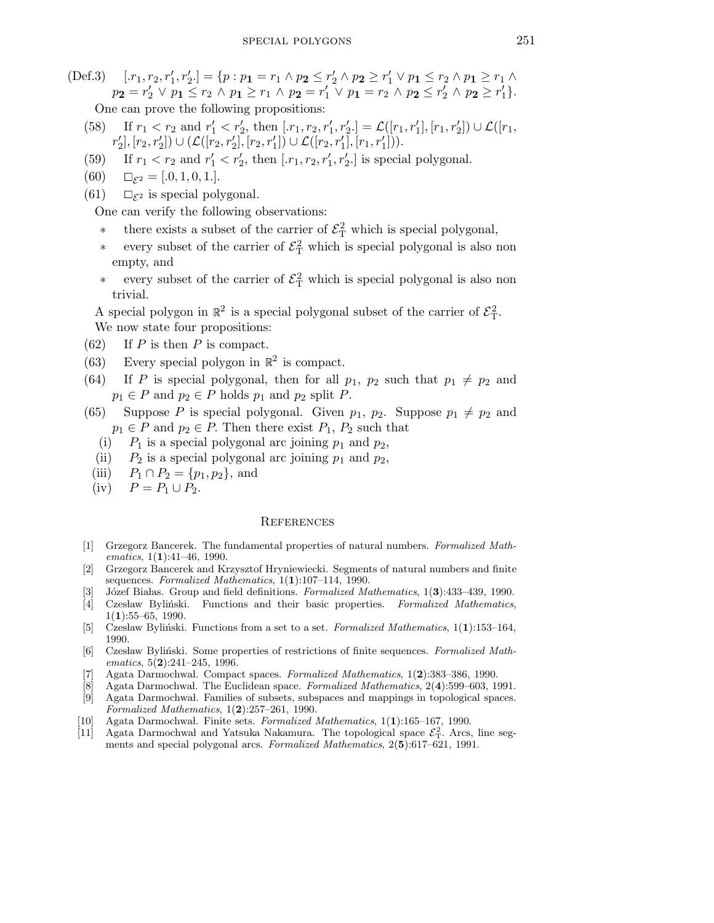(Def.3) 
$$
[r_1, r_2, r'_1, r'_2.] = \{p : p_1 = r_1 \land p_2 \le r'_2 \land p_2 \ge r'_1 \lor p_1 \le r_2 \land p_1 \ge r_1 \land p_2 = r'_2 \lor p_1 \le r_2 \land p_1 \ge r_1 \land p_2 = r'_1 \lor p_1 = r_2 \land p_2 \le r'_2 \land p_2 \ge r'_1\}.
$$
\nOne can prove the following propositions:

- (58) If  $r_1 < r_2$  and  $r'_1 < r'_2$ , then  $[x_1, r_2, r'_1, r'_2] = \mathcal{L}([r_1, r'_1], [r_1, r'_2]) \cup \mathcal{L}([r_1, r'_2])$  $r_2'$  $\mathcal{L}([r_2, r'_2]) \cup (\mathcal{L}([r_2, r'_2], [r_2, r'_1]) \cup \mathcal{L}([r_2, r'_1], [r_1, r'_1]))$ .
- (59) If  $r_1 < r_2$  and  $r'_1 < r'_2$ , then  $[x_1, r_2, r'_1, r'_2]$  is special polygonal.
- (60)  $\Box_{\mathcal{E}^2} = [.0, 1, 0, 1].$
- (61)  $\square_{\mathcal{E}^2}$  is special polygonal.

One can verify the following observations:

- <sup>\*</sup> there exists a subset of the carrier of  $\mathcal{E}^2_T$  which is special polygonal,
- every subset of the carrier of  $\mathcal{E}^2_T$  which is special polygonal is also non empty, and
- every subset of the carrier of  $\mathcal{E}^2_T$  which is special polygonal is also non trivial.

A special polygon in  $\mathbb{R}^2$  is a special polygonal subset of the carrier of  $\mathcal{E}_T^2$ . We now state four propositions:

- $(62)$  If P is then P is compact.
- (63) Every special polygon in  $\mathbb{R}^2$  is compact.
- (64) If P is special polygonal, then for all  $p_1$ ,  $p_2$  such that  $p_1 \neq p_2$  and  $p_1 \in P$  and  $p_2 \in P$  holds  $p_1$  and  $p_2$  split P.
- (65) Suppose P is special polygonal. Given  $p_1$ ,  $p_2$ . Suppose  $p_1 \neq p_2$  and  $p_1 \in P$  and  $p_2 \in P$ . Then there exist  $P_1$ ,  $P_2$  such that
	- (i)  $P_1$  is a special polygonal arc joining  $p_1$  and  $p_2$ ,
	- (ii)  $P_2$  is a special polygonal arc joining  $p_1$  and  $p_2$ ,
	- (iii)  $P_1 \cap P_2 = \{p_1, p_2\}$ , and
	- (iv)  $P = P_1 \cup P_2$ .

## **REFERENCES**

- [1] Grzegorz Bancerek. The fundamental properties of natural numbers. Formalized Mathematics, 1(1):41–46, 1990.
- [2] Grzegorz Bancerek and Krzysztof Hryniewiecki. Segments of natural numbers and finite sequences. Formalized Mathematics,  $1(1):107-114$ , 1990.
- [3] Józef Białas. Group and field definitions. Formalized Mathematics, 1(3):433-439, 1990.
- [4] Czesław Byliński. Functions and their basic properties. Formalized Mathematics,  $1(1):55-65, 1990.$
- [5] Czesław Byliński. Functions from a set to a set. Formalized Mathematics,  $1(1):153-164$ , 1990.
- [6] Czesław Byliński. Some properties of restrictions of finite sequences. Formalized Mathematics,  $5(2):241-245$ , 1996.
- [7] Agata Darmochwal. Compact spaces. Formalized Mathematics,  $1(2):383-386$ , 1990.
- [8] Agata Darmochwal. The Euclidean space. *Formalized Mathematics*,  $2(4)$ :599–603, 1991.<br>[9] Agata Darmochwal. Families of subsets, subspaces and mappings in topological spaces.
- Agata Darmochwal. Families of subsets, subspaces and mappings in topological spaces. Formalized Mathematics,  $1(2):257-261$ , 1990.
- [10] Agata Darmochwał. Finite sets. Formalized Mathematics,  $1(1):165-167$ , 1990.
- [11] Agata Darmochwal and Yatsuka Nakamura. The topological space  $\mathcal{E}_T^2$ . Arcs, line segments and special polygonal arcs. Formalized Mathematics, 2(5):617–621, 1991.